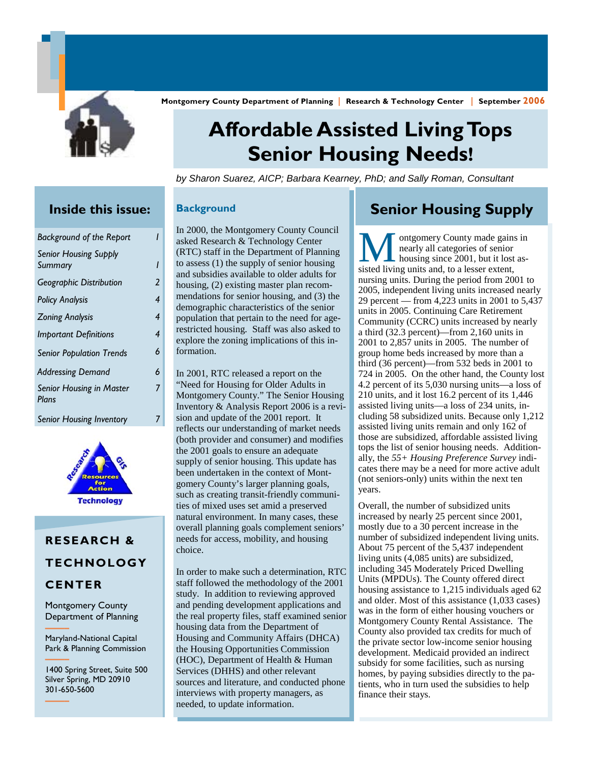

# **Affordable Assisted Living Tops Senior Housing Needs!**

*by Sharon Suarez, AICP; Barbara Kearney, PhD; and Sally Roman, Consultant* 

### **Inside this issue:**

| <b>Background of the Report</b>                |                |
|------------------------------------------------|----------------|
| <b>Senior Housing Supply</b><br><b>Summary</b> |                |
| Geographic Distribution                        | $\overline{2}$ |
| <b>Policy Analysis</b>                         | 4              |
| <b>Zoning Analysis</b>                         | 4              |
| <b>Important Definitions</b>                   | 4              |
| <b>Senior Population Trends</b>                | 6              |
| <b>Addressing Demand</b>                       | 6              |
| Senior Housing in Master<br>Plans              | 7              |
| <b>Senior Housing Inventory</b>                |                |



# **RESEARCH & TECHNOLOGY**

### **CENTER**

**——–** 

**——–** 

Montgomery County Department of Planning

Maryland-National Capital Park & Planning Commission

**——–** 1400 Spring Street, Suite 500 Silver Spring, MD 20910 301-650-5600

#### **Background**

In 2000, the Montgomery County Council asked Research & Technology Center (RTC) staff in the Department of Planning to assess (1) the supply of senior housing and subsidies available to older adults for housing, (2) existing master plan recommendations for senior housing, and (3) the demographic characteristics of the senior population that pertain to the need for agerestricted housing. Staff was also asked to explore the zoning implications of this information.

In 2001, RTC released a report on the "Need for Housing for Older Adults in Montgomery County." The Senior Housing Inventory & Analysis Report 2006 is a revision and update of the 2001 report. It reflects our understanding of market needs (both provider and consumer) and modifies the 2001 goals to ensure an adequate supply of senior housing. This update has been undertaken in the context of Montgomery County's larger planning goals, such as creating transit-friendly communities of mixed uses set amid a preserved natural environment. In many cases, these overall planning goals complement seniors' needs for access, mobility, and housing choice.

In order to make such a determination, RTC staff followed the methodology of the 2001 study. In addition to reviewing approved and pending development applications and the real property files, staff examined senior housing data from the Department of Housing and Community Affairs (DHCA) the Housing Opportunities Commission (HOC), Department of Health & Human Services (DHHS) and other relevant sources and literature, and conducted phone interviews with property managers, as needed, to update information.

## **Senior Housing Supply**

ontgomery County made gains in nearly all categories of senior housing since 2001, but it lost assisted living units and, to a lesser extent, nursing units. During the period from 2001 to 2005, independent living units increased nearly 29 percent — from 4,223 units in 2001 to 5,437 units in 2005. Continuing Care Retirement Community (CCRC) units increased by nearly a third (32.3 percent)—from 2,160 units in 2001 to 2,857 units in 2005. The number of group home beds increased by more than a third (36 percent)—from 532 beds in 2001 to 724 in 2005. On the other hand, the County lost 4.2 percent of its 5,030 nursing units—a loss of 210 units, and it lost 16.2 percent of its 1,446 assisted living units—a loss of 234 units, including 58 subsidized units. Because only 1,212 assisted living units remain and only 162 of those are subsidized, affordable assisted living tops the list of senior housing needs. Additionally, the *55+ Housing Preference Survey* indicates there may be a need for more active adult (not seniors-only) units within the next ten years.

Overall, the number of subsidized units increased by nearly 25 percent since 2001, mostly due to a 30 percent increase in the number of subsidized independent living units. About 75 percent of the 5,437 independent living units (4,085 units) are subsidized, including 345 Moderately Priced Dwelling Units (MPDUs). The County offered direct housing assistance to 1,215 individuals aged 62 and older. Most of this assistance (1,033 cases) was in the form of either housing vouchers or Montgomery County Rental Assistance. The County also provided tax credits for much of the private sector low-income senior housing development. Medicaid provided an indirect subsidy for some facilities, such as nursing homes, by paying subsidies directly to the patients, who in turn used the subsidies to help finance their stays.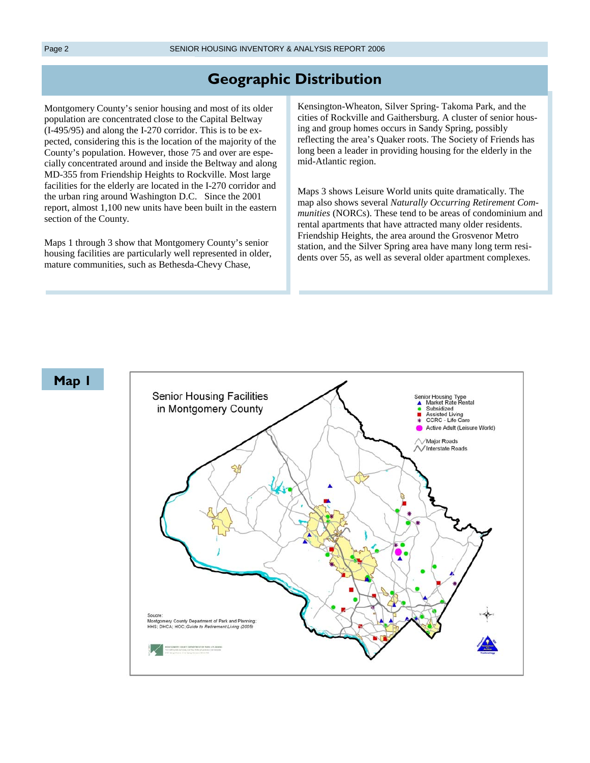## **Geographic Distribution**

Montgomery County's senior housing and most of its older population are concentrated close to the Capital Beltway (I-495/95) and along the I-270 corridor. This is to be expected, considering this is the location of the majority of the County's population. However, those 75 and over are especially concentrated around and inside the Beltway and along MD-355 from Friendship Heights to Rockville. Most large facilities for the elderly are located in the I-270 corridor and the urban ring around Washington D.C. Since the 2001 report, almost 1,100 new units have been built in the eastern section of the County.

Maps 1 through 3 show that Montgomery County's senior housing facilities are particularly well represented in older, mature communities, such as Bethesda-Chevy Chase,

Kensington-Wheaton, Silver Spring- Takoma Park, and the cities of Rockville and Gaithersburg. A cluster of senior housing and group homes occurs in Sandy Spring, possibly reflecting the area's Quaker roots. The Society of Friends has long been a leader in providing housing for the elderly in the mid-Atlantic region.

Maps 3 shows Leisure World units quite dramatically. The map also shows several *Naturally Occurring Retirement Communities* (NORCs). These tend to be areas of condominium and rental apartments that have attracted many older residents. Friendship Heights, the area around the Grosvenor Metro station, and the Silver Spring area have many long term residents over 55, as well as several older apartment complexes.

**Map 1** 

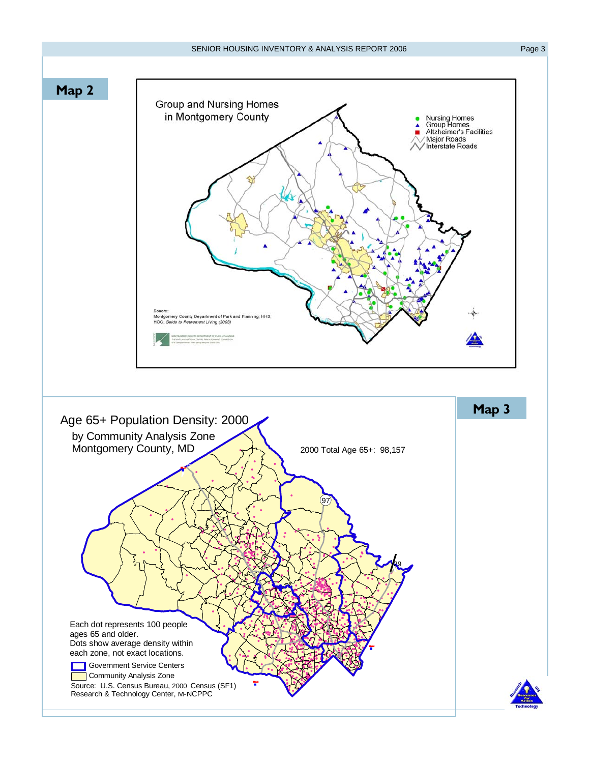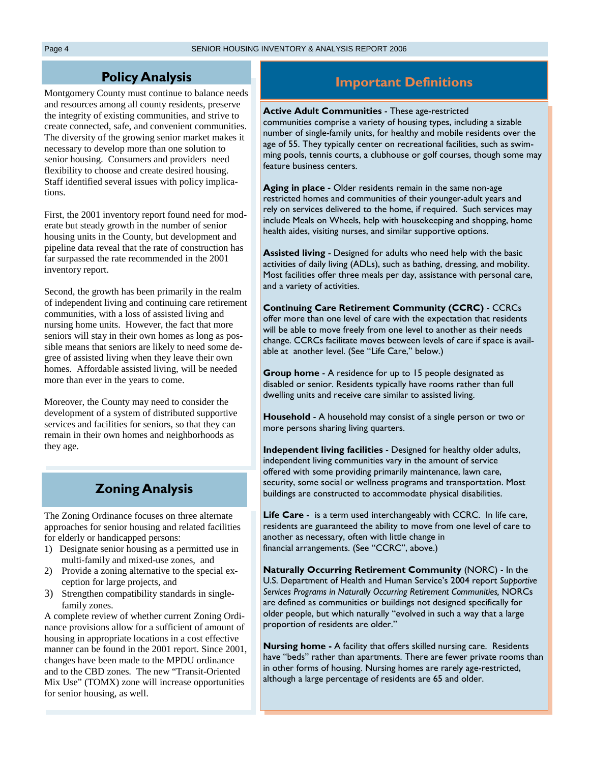#### **Policy Analysis**

Montgomery County must continue to balance needs and resources among all county residents, preserve the integrity of existing communities, and strive to create connected, safe, and convenient communities. The diversity of the growing senior market makes it necessary to develop more than one solution to senior housing. Consumers and providers need flexibility to choose and create desired housing. Staff identified several issues with policy implications.

First, the 2001 inventory report found need for moderate but steady growth in the number of senior housing units in the County, but development and pipeline data reveal that the rate of construction has far surpassed the rate recommended in the 2001 inventory report.

Second, the growth has been primarily in the realm of independent living and continuing care retirement communities, with a loss of assisted living and nursing home units. However, the fact that more seniors will stay in their own homes as long as possible means that seniors are likely to need some degree of assisted living when they leave their own homes. Affordable assisted living, will be needed more than ever in the years to come.

Moreover, the County may need to consider the development of a system of distributed supportive services and facilities for seniors, so that they can remain in their own homes and neighborhoods as they age.

### **Zoning Analysis**

The Zoning Ordinance focuses on three alternate approaches for senior housing and related facilities for elderly or handicapped persons:

- 1) Designate senior housing as a permitted use in multi-family and mixed-use zones, and
- 2) Provide a zoning alternative to the special exception for large projects, and
- 3) Strengthen compatibility standards in singlefamily zones.

A complete review of whether current Zoning Ordinance provisions allow for a sufficient of amount of housing in appropriate locations in a cost effective manner can be found in the 2001 report. Since 2001, changes have been made to the MPDU ordinance and to the CBD zones. The new "Transit-Oriented Mix Use" (TOMX) zone will increase opportunities for senior housing, as well.

#### **Important Definitions**

**Active Adult Communities** - These age-restricted communities comprise a variety of housing types, including a sizable number of single-family units, for healthy and mobile residents over the age of 55. They typically center on recreational facilities, such as swimming pools, tennis courts, a clubhouse or golf courses, though some may feature business centers.

**Aging in place -** Older residents remain in the same non-age restricted homes and communities of their younger-adult years and rely on services delivered to the home, if required. Such services may include Meals on Wheels, help with housekeeping and shopping, home health aides, visiting nurses, and similar supportive options.

**Assisted living** - Designed for adults who need help with the basic activities of daily living (ADLs), such as bathing, dressing, and mobility. Most facilities offer three meals per day, assistance with personal care, and a variety of activities.

**Continuing Care Retirement Community (CCRC)** - CCRCs offer more than one level of care with the expectation that residents will be able to move freely from one level to another as their needs change. CCRCs facilitate moves between levels of care if space is available at another level. (See "Life Care," below.)

**Group home** - A residence for up to 15 people designated as disabled or senior. Residents typically have rooms rather than full dwelling units and receive care similar to assisted living.

**Household** - A household may consist of a single person or two or more persons sharing living quarters.

**Independent living facilities** - Designed for healthy older adults, independent living communities vary in the amount of service offered with some providing primarily maintenance, lawn care, security, some social or wellness programs and transportation. Most buildings are constructed to accommodate physical disabilities.

**Life Care -** is a term used interchangeably with CCRC. In life care, residents are guaranteed the ability to move from one level of care to another as necessary, often with little change in financial arrangements. (See "CCRC", above.)

**Naturally Occurring Retirement Community** (NORC) - In the U.S. Department of Health and Human Service's 2004 report *Supportive Services Programs in Naturally Occurring Retirement Communities,* NORCs are defined as communities or buildings not designed specifically for older people, but which naturally "evolved in such a way that a large proportion of residents are older."

**Nursing home -** A facility that offers skilled nursing care. Residents have "beds" rather than apartments. There are fewer private rooms than in other forms of housing. Nursing homes are rarely age-restricted, although a large percentage of residents are 65 and older.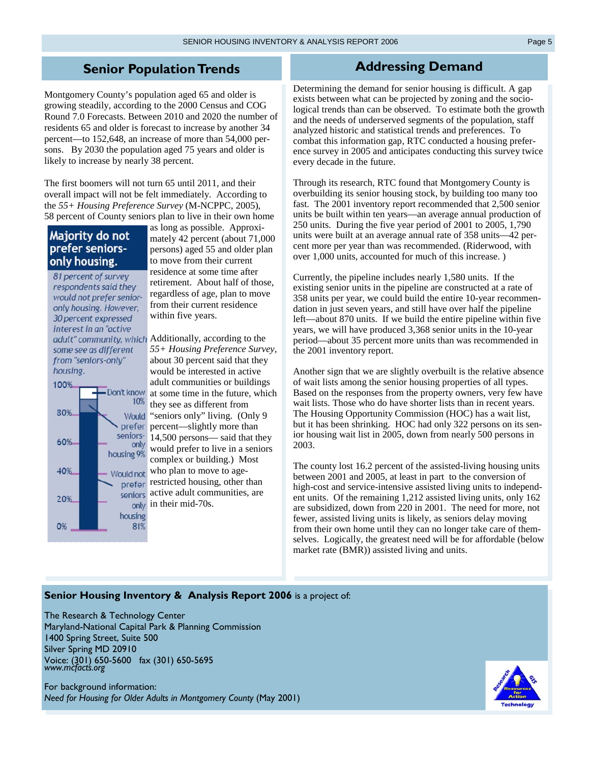#### **Senior Population Trends**

Montgomery County's population aged 65 and older is growing steadily, according to the 2000 Census and COG Round 7.0 Forecasts. Between 2010 and 2020 the number of residents 65 and older is forecast to increase by another 34 percent—to 152,648, an increase of more than 54,000 persons. By 2030 the population aged 75 years and older is likely to increase by nearly 38 percent.

The first boomers will not turn 65 until 2011, and their overall impact will not be felt immediately. According to the *55+ Housing Preference Survey* (M-NCPPC, 2005), 58 percent of County seniors plan to live in their own home

#### Majority do not prefer seniorsonly housing.

81 percent of survey respondents said they would not prefer senioronly housing. However, 30 percent expressed interest in an "active some see as different from "seniors-only" housing.



as long as possible. Approximately 42 percent (about 71,000 persons) aged 55 and older plan to move from their current residence at some time after retirement. About half of those, regardless of age, plan to move from their current residence within five years.

adult" community, which Additionally, according to the *55+ Housing Preference Survey,* about 30 percent said that they would be interested in active adult communities or buildings at some time in the future, which they see as different from Would "seniors only" living. (Only 9) percent—slightly more than 14,500 persons— said that they would prefer to live in a seniors complex or building.) Most who plan to move to agerestricted housing, other than seniors active adult communities, are only in their mid-70s.

#### **Addressing Demand**

Determining the demand for senior housing is difficult. A gap exists between what can be projected by zoning and the sociological trends than can be observed. To estimate both the growth and the needs of underserved segments of the population, staff analyzed historic and statistical trends and preferences. To combat this information gap, RTC conducted a housing preference survey in 2005 and anticipates conducting this survey twice every decade in the future.

Through its research, RTC found that Montgomery County is overbuilding its senior housing stock, by building too many too fast. The 2001 inventory report recommended that 2,500 senior units be built within ten years—an average annual production of 250 units. During the five year period of 2001 to 2005, 1,790 units were built at an average annual rate of 358 units—42 percent more per year than was recommended. (Riderwood, with over 1,000 units, accounted for much of this increase. )

Currently, the pipeline includes nearly 1,580 units. If the existing senior units in the pipeline are constructed at a rate of 358 units per year, we could build the entire 10-year recommendation in just seven years, and still have over half the pipeline left—about 870 units. If we build the entire pipeline within five years, we will have produced 3,368 senior units in the 10-year period—about 35 percent more units than was recommended in the 2001 inventory report.

Another sign that we are slightly overbuilt is the relative absence of wait lists among the senior housing properties of all types. Based on the responses from the property owners, very few have wait lists. Those who do have shorter lists than in recent years. The Housing Opportunity Commission (HOC) has a wait list, but it has been shrinking. HOC had only 322 persons on its senior housing wait list in 2005, down from nearly 500 persons in 2003.

The county lost 16.2 percent of the assisted-living housing units between 2001 and 2005, at least in part to the conversion of high-cost and service-intensive assisted living units to independent units. Of the remaining 1,212 assisted living units, only 162 are subsidized, down from 220 in 2001. The need for more, not fewer, assisted living units is likely, as seniors delay moving from their own home until they can no longer take care of themselves. Logically, the greatest need will be for affordable (below market rate (BMR)) assisted living and units.

#### **Senior Housing Inventory & Analysis Report 2006** is a project of:

The Research & Technology Center Maryland-National Capital Park & Planning Commission 1400 Spring Street, Suite 500 Silver Spring MD 20910 Voice: (301) 650-5600 fax (301) 650-5695 *www.mcfacts.org*

For background information: *Need for Housing for Older Adults in Montgomery County* (May 2001)

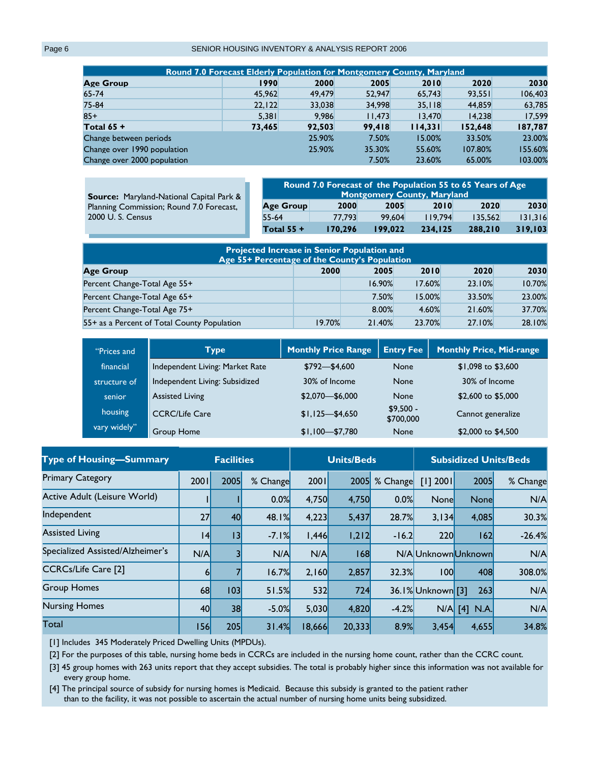#### Page 6 SENIOR HOUSING INVENTORY & ANALYSIS REPORT 2006

| <b>Round 7.0 Forecast Elderly Population for Montgomery County, Maryland</b> |         |        |        |         |         |         |  |  |  |  |  |  |
|------------------------------------------------------------------------------|---------|--------|--------|---------|---------|---------|--|--|--|--|--|--|
| <b>Age Group</b>                                                             | 1990    | 2000   | 2005   | 2010    | 2020    | 2030    |  |  |  |  |  |  |
| $65 - 74$                                                                    | 45,962  | 49.479 | 52.947 | 65.743  | 93,551  | 106,403 |  |  |  |  |  |  |
| 75-84                                                                        | 22, 122 | 33,038 | 34,998 | 35,118  | 44,859  | 63,785  |  |  |  |  |  |  |
| $85+$                                                                        | 5,381   | 9.986  | 11.473 | 13,470  | 14.238  | 17.599  |  |  |  |  |  |  |
| Total $65 +$                                                                 | 73.465  | 92,503 | 99,418 | 114,331 | 152.648 | 187,787 |  |  |  |  |  |  |
| Change between periods                                                       |         | 25.90% | 7.50%  | 15.00%  | 33.50%  | 23.00%  |  |  |  |  |  |  |
| Change over 1990 population                                                  |         | 25.90% | 35.30% | 55.60%  | 107.80% | 155.60% |  |  |  |  |  |  |
| Change over 2000 population                                                  |         |        | 7.50%  | 23.60%  | 65.00%  | 103.00% |  |  |  |  |  |  |

**Source:** Maryland-National Capital Park & Planning Commission; Round 7.0 Forecast, 2000 U. S. Census

| Round 7.0 Forecast of the Population 55 to 65 Years of Age<br><b>Montgomery County, Maryland</b> |         |         |         |         |         |  |  |  |  |
|--------------------------------------------------------------------------------------------------|---------|---------|---------|---------|---------|--|--|--|--|
| <b>Age Group</b>                                                                                 | 2000    | 2005    | 2010    | 2020    | 2030    |  |  |  |  |
| $55 - 64$                                                                                        | 77.793  | 99.604  | 119.794 | 135.562 | 131,316 |  |  |  |  |
| Total $55 +$                                                                                     | 170,296 | 199,022 | 234,125 | 288.210 | 319,103 |  |  |  |  |

| <b>Projected Increase in Senior Population and</b><br>Age 55+ Percentage of the County's Population |        |        |        |        |        |  |  |  |  |  |
|-----------------------------------------------------------------------------------------------------|--------|--------|--------|--------|--------|--|--|--|--|--|
| <b>Age Group</b>                                                                                    | 2000   | 2005   | 2010   | 2020   | 2030   |  |  |  |  |  |
| Percent Change-Total Age 55+                                                                        |        | 16.90% | 17.60% | 23.10% | 10.70% |  |  |  |  |  |
| Percent Change-Total Age 65+                                                                        |        | 7.50%  | 15.00% | 33.50% | 23.00% |  |  |  |  |  |
| Percent Change-Total Age 75+                                                                        |        | 8.00%  | 4.60%  | 21.60% | 37.70% |  |  |  |  |  |
| 55+ as a Percent of Total County Population                                                         | 19.70% | 21.40% | 23.70% | 27.10% | 28.10% |  |  |  |  |  |

| "Prices and  | Type                            | <b>Monthly Price Range</b> | <b>Entry Fee</b>        | <b>Monthly Price, Mid-range</b> |
|--------------|---------------------------------|----------------------------|-------------------------|---------------------------------|
| financial    | Independent Living: Market Rate | $$792 - $4,600$            | <b>None</b>             | \$1,098 to \$3,600              |
| structure of | Independent Living: Subsidized  | 30% of Income              | None                    | 30% of Income                   |
| senior       | <b>Assisted Living</b>          | $$2.070 - $6.000$          | None                    | $$2,600$ to $$5,000$            |
| housing      | <b>CCRC/Life Care</b>           | $$1,125 - $4,650$          | $$9,500 -$<br>\$700,000 | Cannot generalize               |
| vary widely" | <b>Group Home</b>               | $$1,100 - $7,780$          | None                    | \$2,000 to $$4,500$             |

| <b>Type of Housing-Summary</b>   |           | <b>Facilities</b> |          | <b>Units/Beds</b> |        |               | <b>Subsidized Units/Beds</b> |             |          |  |
|----------------------------------|-----------|-------------------|----------|-------------------|--------|---------------|------------------------------|-------------|----------|--|
| <b>Primary Category</b>          | 2001      | 2005              | % Change | 2001              |        | 2005 % Change | $[1]$ 2001                   | 2005        | % Change |  |
| Active Adult (Leisure World)     |           |                   | 0.0%     | 4,750             | 4,750  | 0.0%          | None                         | None        | N/A      |  |
| Independent                      | <b>27</b> | 40                | 48.1%    | 4,223             | 5,437  | 28.7%         | 3,134                        | 4,085       | 30.3%    |  |
| <b>Assisted Living</b>           | 4         | 3                 | $-7.1%$  | 1,446             | 1,212  | $-16.2$       | 220                          | 62          | $-26.4%$ |  |
| Specialized Assisted/Alzheimer's | N/A       |                   | N/A      | N/A               | 168    |               | N/AUnknownUnknown            |             | N/A      |  |
| <b>CCRCs/Life Care [2]</b>       | 61        |                   | 16.7%    | 2,160             | 2,857  | 32.3%         | 100                          | 408         | 308.0%   |  |
| <b>Group Homes</b>               | 68        | 103               | 51.5%    | 532               | 724    |               | 36.1% Unknown [3]            | 263         | N/A      |  |
| <b>Nursing Homes</b>             | <b>40</b> | 38                | $-5.0%$  | 5,030             | 4,820  | $-4.2%$       | N/A                          | [4]<br>N.A. | N/A      |  |
| Total                            | 156       | 205               | 31.4%    | 18,666            | 20,333 | 8.9%          | 3,454                        | 4,655       | 34.8%    |  |

[1] Includes 345 Moderately Priced Dwelling Units (MPDUs).

[2] For the purposes of this table, nursing home beds in CCRCs are included in the nursing home count, rather than the CCRC count.

 [3] 45 group homes with 263 units report that they accept subsidies. The total is probably higher since this information was not available for every group home.

 [4] The principal source of subsidy for nursing homes is Medicaid. Because this subsidy is granted to the patient rather than to the facility, it was not possible to ascertain the actual number of nursing home units being subsidized.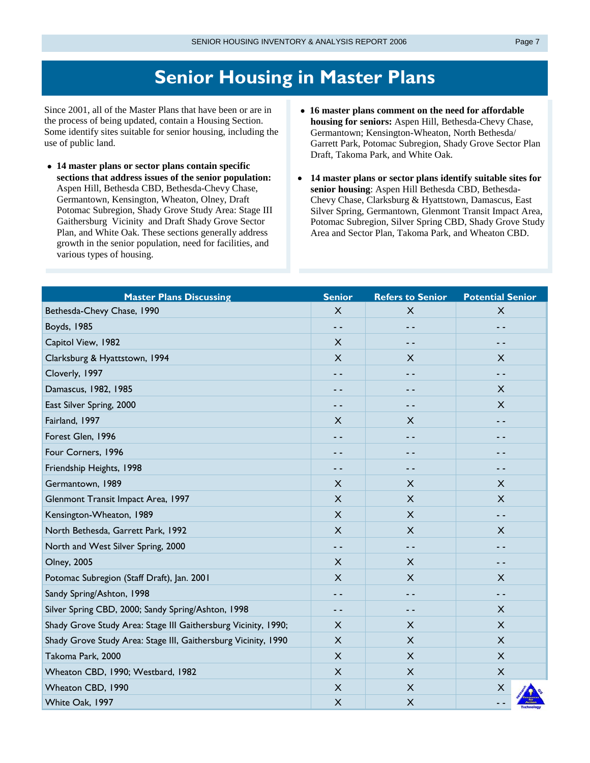## **Senior Housing in Master Plans**

Since 2001, all of the Master Plans that have been or are in the process of being updated, contain a Housing Section. Some identify sites suitable for senior housing, including the use of public land.

- **14 master plans or sector plans contain specific sections that address issues of the senior population:** Aspen Hill, Bethesda CBD, Bethesda-Chevy Chase, Germantown, Kensington, Wheaton, Olney, Draft Potomac Subregion, Shady Grove Study Area: Stage III Gaithersburg Vicinity and Draft Shady Grove Sector Plan, and White Oak. These sections generally address growth in the senior population, need for facilities, and various types of housing.
- **16 master plans comment on the need for affordable housing for seniors:** Aspen Hill, Bethesda-Chevy Chase, Germantown; Kensington-Wheaton, North Bethesda/ Garrett Park, Potomac Subregion, Shady Grove Sector Plan Draft, Takoma Park, and White Oak.
- **14 master plans or sector plans identify suitable sites for senior housing**: Aspen Hill Bethesda CBD, Bethesda-Chevy Chase, Clarksburg & Hyattstown, Damascus, East Silver Spring, Germantown, Glenmont Transit Impact Area, Potomac Subregion, Silver Spring CBD, Shady Grove Study Area and Sector Plan, Takoma Park, and Wheaton CBD.

| <b>Master Plans Discussing</b>                                 | <b>Senior</b>  | <b>Refers to Senior</b> | <b>Potential Senior</b> |
|----------------------------------------------------------------|----------------|-------------------------|-------------------------|
| Bethesda-Chevy Chase, 1990                                     | X              | X                       | X                       |
| <b>Boyds, 1985</b>                                             |                |                         |                         |
| Capitol View, 1982                                             | X              | - -                     | - -                     |
| Clarksburg & Hyattstown, 1994                                  | X              | X                       | X                       |
| Cloverly, 1997                                                 | - -            | - -                     | - -                     |
| Damascus, 1982, 1985                                           | - -            | ۰.                      | $\times$                |
| East Silver Spring, 2000                                       | - -            | - -                     | $\mathsf{X}$            |
| Fairland, 1997                                                 | X              | X                       | - -                     |
| Forest Glen, 1996                                              | - -            | ۰.                      | - -                     |
| Four Corners, 1996                                             | - -            | - -                     | - -                     |
| Friendship Heights, 1998                                       | - -            | ۰.                      | - -                     |
| Germantown, 1989                                               | X              | X                       | X                       |
| Glenmont Transit Impact Area, 1997                             | $\times$       | X                       | X                       |
| Kensington-Wheaton, 1989                                       | $\pmb{\times}$ | X                       | ۰.                      |
| North Bethesda, Garrett Park, 1992                             | $\times$       | $\times$                | X                       |
| North and West Silver Spring, 2000                             | - -            | - -                     | - -                     |
| <b>Olney, 2005</b>                                             | $\mathsf{X}$   | X                       | - -                     |
| Potomac Subregion (Staff Draft), Jan. 2001                     | $\times$       | X                       | X                       |
| Sandy Spring/Ashton, 1998                                      | - -            | ۰.                      | ۰.                      |
| Silver Spring CBD, 2000; Sandy Spring/Ashton, 1998             | - -            | - -                     | X                       |
| Shady Grove Study Area: Stage III Gaithersburg Vicinity, 1990; | $\times$       | X                       | $\times$                |
| Shady Grove Study Area: Stage III, Gaithersburg Vicinity, 1990 | $\pmb{\times}$ | $\times$                | $\mathsf{X}$            |
| Takoma Park, 2000                                              | $\times$       | X                       | X                       |
| Wheaton CBD, 1990; Westbard, 1982                              | $\times$       | X                       | $\times$                |
| Wheaton CBD, 1990                                              | $\pmb{\times}$ | $\times$                | X                       |
| White Oak, 1997                                                | $\mathsf X$    | $\pmb{\times}$          |                         |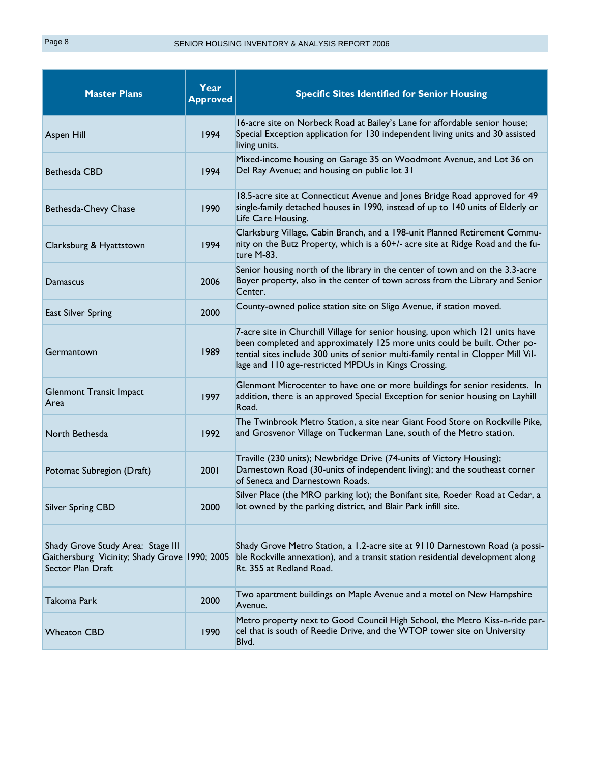| <b>Master Plans</b>                                                                                     | Year<br><b>Approved</b> | <b>Specific Sites Identified for Senior Housing</b>                                                                                                                                                                                                                                                       |
|---------------------------------------------------------------------------------------------------------|-------------------------|-----------------------------------------------------------------------------------------------------------------------------------------------------------------------------------------------------------------------------------------------------------------------------------------------------------|
| Aspen Hill                                                                                              | 1994                    | 16-acre site on Norbeck Road at Bailey's Lane for affordable senior house;<br>Special Exception application for 130 independent living units and 30 assisted<br>living units.                                                                                                                             |
| Bethesda CBD                                                                                            | 1994                    | Mixed-income housing on Garage 35 on Woodmont Avenue, and Lot 36 on<br>Del Ray Avenue; and housing on public lot 31                                                                                                                                                                                       |
| Bethesda-Chevy Chase                                                                                    | 1990                    | 18.5-acre site at Connecticut Avenue and Jones Bridge Road approved for 49<br>single-family detached houses in 1990, instead of up to 140 units of Elderly or<br>Life Care Housing.                                                                                                                       |
| Clarksburg & Hyattstown                                                                                 | 1994                    | Clarksburg Village, Cabin Branch, and a 198-unit Planned Retirement Commu-<br>nity on the Butz Property, which is a 60+/- acre site at Ridge Road and the fu-<br>ture M-83.                                                                                                                               |
| Damascus                                                                                                | 2006                    | Senior housing north of the library in the center of town and on the 3.3-acre<br>Boyer property, also in the center of town across from the Library and Senior<br>Center.                                                                                                                                 |
| <b>East Silver Spring</b>                                                                               | 2000                    | County-owned police station site on Sligo Avenue, if station moved.                                                                                                                                                                                                                                       |
| Germantown                                                                                              | 1989                    | 7-acre site in Churchill Village for senior housing, upon which 121 units have<br>been completed and approximately 125 more units could be built. Other po-<br>tential sites include 300 units of senior multi-family rental in Clopper Mill Vil-<br>lage and 110 age-restricted MPDUs in Kings Crossing. |
| <b>Glenmont Transit Impact</b><br>Area                                                                  | 1997                    | Glenmont Microcenter to have one or more buildings for senior residents. In<br>addition, there is an approved Special Exception for senior housing on Layhill<br>Road.                                                                                                                                    |
| North Bethesda                                                                                          | 1992                    | The Twinbrook Metro Station, a site near Giant Food Store on Rockville Pike,<br>and Grosvenor Village on Tuckerman Lane, south of the Metro station.                                                                                                                                                      |
| Potomac Subregion (Draft)                                                                               | 2001                    | Traville (230 units); Newbridge Drive (74-units of Victory Housing);<br>Darnestown Road (30-units of independent living); and the southeast corner<br>of Seneca and Darnestown Roads.                                                                                                                     |
| Silver Spring CBD                                                                                       | 2000                    | Silver Place (the MRO parking lot); the Bonifant site, Roeder Road at Cedar, a<br>lot owned by the parking district, and Blair Park infill site.                                                                                                                                                          |
| Shady Grove Study Area: Stage III<br>Gaithersburg Vicinity; Shady Grove 1990; 2005<br>Sector Plan Draft |                         | Shady Grove Metro Station, a 1.2-acre site at 9110 Darnestown Road (a possi-<br>ble Rockville annexation), and a transit station residential development along<br>Rt. 355 at Redland Road.                                                                                                                |
| Takoma Park                                                                                             | 2000                    | Two apartment buildings on Maple Avenue and a motel on New Hampshire<br>Avenue.                                                                                                                                                                                                                           |
| <b>Wheaton CBD</b>                                                                                      | 1990                    | Metro property next to Good Council High School, the Metro Kiss-n-ride par-<br>cel that is south of Reedie Drive, and the WTOP tower site on University<br>Blvd.                                                                                                                                          |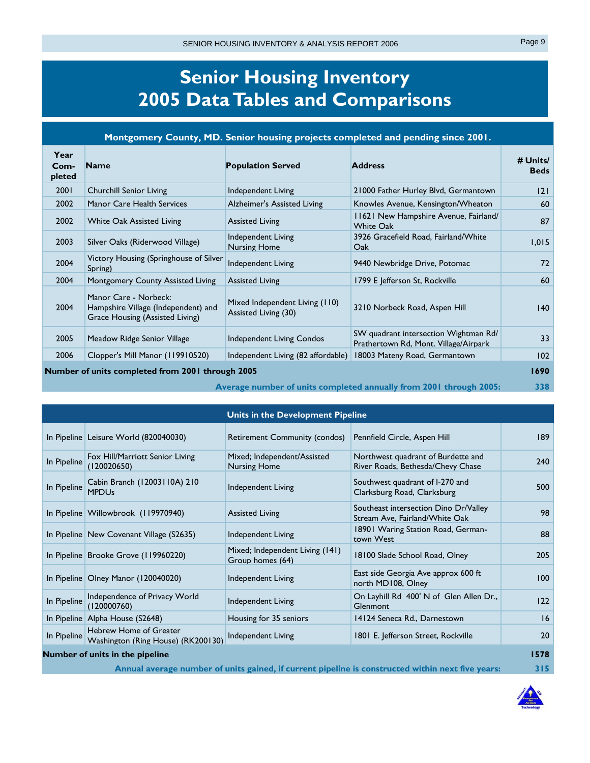## **Senior Housing Inventory 2005 Data Tables and Comparisons**

#### **Montgomery County, MD. Senior housing projects completed and pending since 2001.**

| Year<br>$Com-$<br>pleted                                           | <b>Name</b>                                                                                     | <b>Population Served</b>                               | <b>Address</b>                                                                 | # Units/<br><b>Beds</b> |  |  |  |  |
|--------------------------------------------------------------------|-------------------------------------------------------------------------------------------------|--------------------------------------------------------|--------------------------------------------------------------------------------|-------------------------|--|--|--|--|
| 2001                                                               | <b>Churchill Senior Living</b>                                                                  | Independent Living                                     | 21000 Father Hurley Blvd, Germantown                                           | 2                       |  |  |  |  |
| 2002                                                               | Manor Care Health Services                                                                      | Alzheimer's Assisted Living                            | Knowles Avenue, Kensington/Wheaton                                             | 60                      |  |  |  |  |
| 2002                                                               | <b>White Oak Assisted Living</b>                                                                | <b>Assisted Living</b>                                 | 11621 New Hampshire Avenue, Fairland/<br><b>White Oak</b>                      | 87                      |  |  |  |  |
| 2003                                                               | Silver Oaks (Riderwood Village)                                                                 | Independent Living<br><b>Nursing Home</b>              | 3926 Gracefield Road, Fairland/White<br>Oak                                    | 1,015                   |  |  |  |  |
| 2004                                                               | Victory Housing (Springhouse of Silver<br>Spring)                                               | Independent Living                                     | 9440 Newbridge Drive, Potomac                                                  | 72                      |  |  |  |  |
| 2004                                                               | <b>Montgomery County Assisted Living</b>                                                        | <b>Assisted Living</b>                                 | 1799 E Jefferson St, Rockville                                                 | 60                      |  |  |  |  |
| 2004                                                               | Manor Care - Norbeck:<br>Hampshire Village (Independent) and<br>Grace Housing (Assisted Living) | Mixed Independent Living (110)<br>Assisted Living (30) | 3210 Norbeck Road, Aspen Hill                                                  | 140                     |  |  |  |  |
| 2005                                                               | Meadow Ridge Senior Village                                                                     | Independent Living Condos                              | SW quadrant intersection Wightman Rd/<br>Prathertown Rd, Mont. Village/Airpark | 33                      |  |  |  |  |
| 2006                                                               | Clopper's Mill Manor (119910520)                                                                | Independent Living (82 affordable)                     | 18003 Mateny Road, Germantown                                                  | 102                     |  |  |  |  |
| Number of units completed from 2001 through 2005                   |                                                                                                 |                                                        |                                                                                |                         |  |  |  |  |
| Average number of units completed annually from 2001 through 2005: |                                                                                                 |                                                        |                                                                                |                         |  |  |  |  |

|             |                                                              | <b>Units in the Development Pipeline</b>            |                                                                                                   |      |
|-------------|--------------------------------------------------------------|-----------------------------------------------------|---------------------------------------------------------------------------------------------------|------|
|             | In Pipeline Leisure World (820040030)                        | <b>Retirement Community (condos)</b>                | Pennfield Circle, Aspen Hill                                                                      | 189  |
| In Pipeline | Fox Hill/Marriott Senior Living<br>(120020650)               | Mixed; Independent/Assisted<br><b>Nursing Home</b>  | Northwest quadrant of Burdette and<br>River Roads, Bethesda/Chevy Chase                           | 240  |
| In Pipeline | Cabin Branch (12003110A) 210<br><b>MPDU<sub>s</sub></b>      | Independent Living                                  | Southwest quadrant of I-270 and<br>Clarksburg Road, Clarksburg                                    | 500  |
|             | In Pipeline Willowbrook (119970940)                          | <b>Assisted Living</b>                              | Southeast intersection Dino Dr/Valley<br>Stream Ave, Fairland/White Oak                           | 98   |
|             | In Pipeline   New Covenant Village (S2635)                   | Independent Living                                  | 18901 Waring Station Road, German-<br>town West                                                   | 88   |
|             | In Pipeline Brooke Grove (119960220)                         | Mixed; Independent Living (141)<br>Group homes (64) | 18100 Slade School Road, Olney                                                                    | 205  |
|             | In Pipeline Olney Manor (120040020)                          | Independent Living                                  | East side Georgia Ave approx 600 ft<br>north MD108, Olney                                         | 100  |
| In Pipeline | Independence of Privacy World<br>(120000760)                 | Independent Living                                  | On Layhill Rd 400' N of Glen Allen Dr.,<br>Glenmont                                               | 122  |
|             | In Pipeline Alpha House (S2648)                              | Housing for 35 seniors                              | 14124 Seneca Rd., Darnestown                                                                      | 16   |
| In Pipeline | Hebrew Home of Greater<br>Washington (Ring House) (RK200130) | Independent Living                                  | 1801 E. Jefferson Street, Rockville                                                               | 20   |
|             | Number of units in the pipeline                              |                                                     |                                                                                                   | 1578 |
|             |                                                              |                                                     | Annual average number of units gained, if current pipeline is constructed within next five years: | 315  |



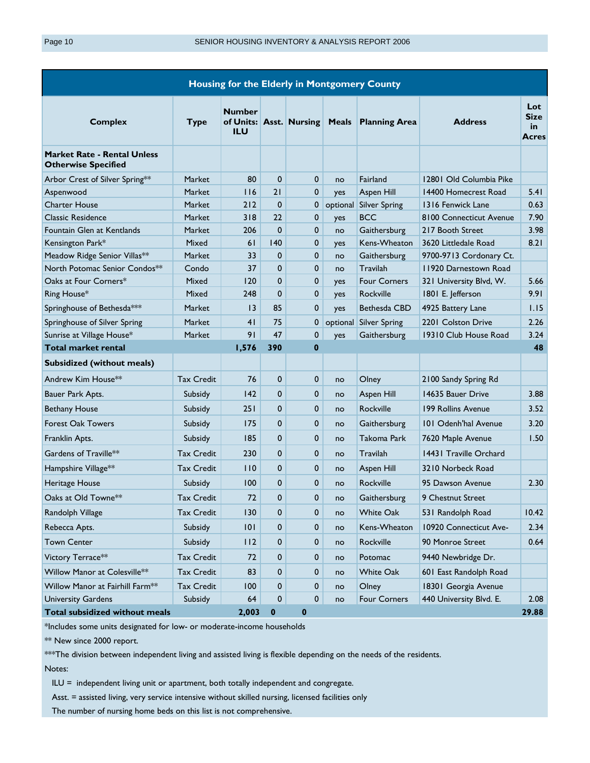| <b>Housing for the Elderly in Montgomery County</b>              |                   |                                                        |              |              |     |                            |                         |                                           |  |  |  |
|------------------------------------------------------------------|-------------------|--------------------------------------------------------|--------------|--------------|-----|----------------------------|-------------------------|-------------------------------------------|--|--|--|
| <b>Complex</b>                                                   | <b>Type</b>       | <b>Number</b><br>of Units: Asst. Nursing<br><b>ILU</b> |              |              |     | <b>Meals Planning Area</b> | <b>Address</b>          | Lot<br><b>Size</b><br>in.<br><b>Acres</b> |  |  |  |
| <b>Market Rate - Rental Unless</b><br><b>Otherwise Specified</b> |                   |                                                        |              |              |     |                            |                         |                                           |  |  |  |
| Arbor Crest of Silver Spring**                                   | Market            | 80                                                     | $\mathbf 0$  | $\mathbf{0}$ | no  | Fairland                   | 12801 Old Columbia Pike |                                           |  |  |  |
| Aspenwood                                                        | Market            | 116                                                    | 21           | 0            | yes | Aspen Hill                 | 14400 Homecrest Road    | 5.41                                      |  |  |  |
| <b>Charter House</b>                                             | Market            | 212                                                    | $\mathbf{0}$ | $\mathbf 0$  |     | optional Silver Spring     | 1316 Fenwick Lane       | 0.63                                      |  |  |  |
| <b>Classic Residence</b>                                         | Market            | 318                                                    | 22           | 0            | yes | <b>BCC</b>                 | 8100 Connecticut Avenue | 7.90                                      |  |  |  |
| Fountain Glen at Kentlands                                       | Market            | 206                                                    | $\mathbf{0}$ | $\mathbf{0}$ | no  | Gaithersburg               | 217 Booth Street        | 3.98                                      |  |  |  |
| Kensington Park*                                                 | Mixed             | 61                                                     | 140          | 0            | yes | Kens-Wheaton               | 3620 Littledale Road    | 8.21                                      |  |  |  |
| Meadow Ridge Senior Villas**                                     | Market            | 33                                                     | $\pmb{0}$    | 0            | no  | Gaithersburg               | 9700-9713 Cordonary Ct. |                                           |  |  |  |
| North Potomac Senior Condos**                                    | Condo             | 37                                                     | $\mathbf 0$  | $\mathbf{0}$ | no  | Travilah                   | 11920 Darnestown Road   |                                           |  |  |  |
| Oaks at Four Corners*                                            | Mixed             | 120                                                    | $\mathbf{0}$ | 0            | yes | Four Corners               | 321 University Blvd, W. | 5.66                                      |  |  |  |
| Ring House*                                                      | Mixed             | 248                                                    | $\mathbf{0}$ | $\mathbf{0}$ | yes | Rockville                  | 1801 E. Jefferson       | 9.91                                      |  |  |  |
| Springhouse of Bethesda***                                       | Market            | 3                                                      | 85           | 0            | yes | Bethesda CBD               | 4925 Battery Lane       | 1.15                                      |  |  |  |
| Springhouse of Silver Spring                                     | Market            | 41                                                     | 75           | 0            |     | optional Silver Spring     | 2201 Colston Drive      | 2.26                                      |  |  |  |
| Sunrise at Village House*                                        | Market            | 91                                                     | 47           | $\mathbf{0}$ | yes | Gaithersburg               | 19310 Club House Road   | 3.24                                      |  |  |  |
| <b>Total market rental</b>                                       |                   | 1,576                                                  | 390          | $\bf{0}$     |     |                            |                         | 48                                        |  |  |  |
| <b>Subsidized (without meals)</b>                                |                   |                                                        |              |              |     |                            |                         |                                           |  |  |  |
| Andrew Kim House**                                               | <b>Tax Credit</b> | 76                                                     | $\mathbf{0}$ | $\mathbf{0}$ | no  | Olney                      | 2100 Sandy Spring Rd    |                                           |  |  |  |
| Bauer Park Apts.                                                 | Subsidy           | 142                                                    | $\mathbf 0$  | 0            | no  | Aspen Hill                 | 14635 Bauer Drive       | 3.88                                      |  |  |  |
| <b>Bethany House</b>                                             | Subsidy           | 251                                                    | $\mathbf{0}$ | $\mathbf{0}$ | no  | <b>Rockville</b>           | 199 Rollins Avenue      | 3.52                                      |  |  |  |
| <b>Forest Oak Towers</b>                                         | Subsidy           | 175                                                    | $\mathbf{0}$ | $\mathbf{0}$ | no  | Gaithersburg               | 101 Odenh'hal Avenue    | 3.20                                      |  |  |  |
| Franklin Apts.                                                   | Subsidy           | 185                                                    | $\mathbf{0}$ | $\mathbf{0}$ | no  | <b>Takoma Park</b>         | 7620 Maple Avenue       | 1.50                                      |  |  |  |
| Gardens of Traville**                                            | <b>Tax Credit</b> | 230                                                    | $\mathbf 0$  | $\mathbf{0}$ | no  | Travilah                   | 14431 Traville Orchard  |                                           |  |  |  |
| Hampshire Village**                                              | <b>Tax Credit</b> | 110                                                    | $\mathbf{0}$ | $\mathbf{0}$ | no  | Aspen Hill                 | 3210 Norbeck Road       |                                           |  |  |  |
| Heritage House                                                   | Subsidy           | 100                                                    | $\mathbf{0}$ | $\mathbf{0}$ | no  | Rockville                  | 95 Dawson Avenue        | 2.30                                      |  |  |  |
| Oaks at Old Towne**                                              | <b>Tax Credit</b> | 72                                                     | $\mathbf 0$  | 0            | no  | Gaithersburg               | 9 Chestnut Street       |                                           |  |  |  |
| Randolph Village                                                 | <b>Tax Credit</b> | 130                                                    | 0            | 0            | no  | White Oak                  | 531 Randolph Road       | 10.42                                     |  |  |  |
| Rebecca Apts.                                                    | Subsidy           | 101                                                    | $\pmb{0}$    | 0            | no  | Kens-Wheaton               | 10920 Connecticut Ave-  | 2.34                                      |  |  |  |
| <b>Town Center</b>                                               | Subsidy           | 112                                                    | 0            | 0            | no  | Rockville                  | 90 Monroe Street        | 0.64                                      |  |  |  |
| Victory Terrace**                                                | Tax Credit        | 72                                                     | 0            | 0            | no  | Potomac                    | 9440 Newbridge Dr.      |                                           |  |  |  |
| Willow Manor at Colesville**                                     | Tax Credit        | 83                                                     | $\pmb{0}$    | 0            | no  | White Oak                  | 601 East Randolph Road  |                                           |  |  |  |
| Willow Manor at Fairhill Farm <sup>**</sup>                      | <b>Tax Credit</b> | 100                                                    | $\pmb{0}$    | 0            | no  | Olney                      | 18301 Georgia Avenue    |                                           |  |  |  |
| <b>University Gardens</b>                                        | Subsidy           | 64                                                     | $\pmb{0}$    | 0            | no  | Four Corners               | 440 University Blvd. E. | 2.08                                      |  |  |  |
| Total subsidized without meals                                   |                   | 2,003                                                  | $\bf{0}$     | $\mathbf 0$  |     |                            |                         | 29.88                                     |  |  |  |

\*Includes some units designated for low- or moderate-income households

\*\* New since 2000 report.

\*\*\*The division between independent living and assisted living is flexible depending on the needs of the residents.

Notes:

ILU = independent living unit or apartment, both totally independent and congregate.

Asst. = assisted living, very service intensive without skilled nursing, licensed facilities only

The number of nursing home beds on this list is not comprehensive.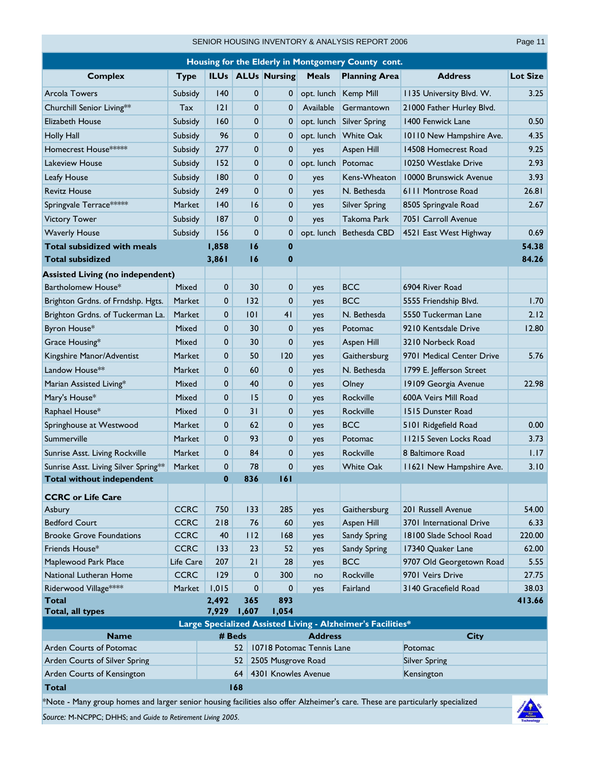| SENIOR HOUSING INVENTORY & ANALYSIS REPORT 2006<br>Page 11                                                                                 |               |              |                 |                     |                           |                                                             |                                  |                 |  |
|--------------------------------------------------------------------------------------------------------------------------------------------|---------------|--------------|-----------------|---------------------|---------------------------|-------------------------------------------------------------|----------------------------------|-----------------|--|
|                                                                                                                                            |               |              |                 |                     |                           | Housing for the Elderly in Montgomery County cont.          |                                  |                 |  |
| <b>Complex</b>                                                                                                                             | <b>Type</b>   | <b>ILUs</b>  |                 | <b>ALUs Nursing</b> | <b>Meals</b>              | <b>Planning Area</b>                                        | <b>Address</b>                   | <b>Lot Size</b> |  |
| Arcola Towers                                                                                                                              | Subsidy       | 140          | $\mathbf{0}$    | 0                   | opt. lunch                | Kemp Mill                                                   | 1135 University Blvd. W.         | 3.25            |  |
| Churchill Senior Living**                                                                                                                  | Tax           | 2            | $\mathbf{0}$    | $\mathbf{0}$        | Available                 | Germantown                                                  | 21000 Father Hurley Blvd.        |                 |  |
| Elizabeth House                                                                                                                            | Subsidy       | 160          | $\mathbf{0}$    | 0                   |                           | opt. lunch Silver Spring                                    | 1400 Fenwick Lane                | 0.50            |  |
| Holly Hall                                                                                                                                 | Subsidy       | 96           | $\mathbf{0}$    | 0                   | opt. lunch                | <b>White Oak</b>                                            | 10110 New Hampshire Ave.         | 4.35            |  |
| Homecrest House*****                                                                                                                       | Subsidy       | 277          | $\mathbf{0}$    | $\mathbf 0$         | yes                       | Aspen Hill                                                  | 14508 Homecrest Road             | 9.25            |  |
| Lakeview House                                                                                                                             | Subsidy       | 152          | $\mathbf{0}$    | 0                   | opt. lunch                | Potomac                                                     | 10250 Westlake Drive             | 2.93            |  |
| Leafy House                                                                                                                                | Subsidy       | 180          | $\mathbf{0}$    | 0                   | yes                       | Kens-Wheaton                                                | 10000 Brunswick Avenue           | 3.93            |  |
| <b>Revitz House</b>                                                                                                                        | Subsidy       | 249          | $\mathbf{0}$    | 0                   | yes                       | N. Bethesda                                                 | 6111 Montrose Road               | 26.81           |  |
| Springvale Terrace*****                                                                                                                    | Market        | 140          | 16              | 0                   | yes                       | <b>Silver Spring</b>                                        | 8505 Springvale Road             | 2.67            |  |
| <b>Victory Tower</b>                                                                                                                       | Subsidy       | 187          | $\mathbf{0}$    | 0                   | yes                       | Takoma Park                                                 | 7051 Carroll Avenue              |                 |  |
| <b>Waverly House</b>                                                                                                                       | Subsidy       | 156          | $\mathbf{0}$    | 0                   | opt. lunch                | Bethesda CBD                                                | 4521 East West Highway           | 0.69            |  |
| <b>Total subsidized with meals</b>                                                                                                         |               | 1,858        | 16              | $\bf{0}$            |                           |                                                             |                                  | 54.38           |  |
| <b>Total subsidized</b>                                                                                                                    |               | 3,861        | 16              | $\bf{0}$            |                           |                                                             |                                  | 84.26           |  |
| <b>Assisted Living (no independent)</b>                                                                                                    |               |              |                 |                     |                           |                                                             |                                  |                 |  |
| Bartholomew House*                                                                                                                         | Mixed         | $\mathbf 0$  | 30              | 0                   | yes                       | <b>BCC</b>                                                  | 6904 River Road                  |                 |  |
| Brighton Grdns. of Frndshp. Hgts.                                                                                                          | Market        | $\mathbf 0$  | 132             | 0                   | yes                       | <b>BCC</b>                                                  | 5555 Friendship Blvd.            | 1.70            |  |
| Brighton Grdns. of Tuckerman La.                                                                                                           | <b>Market</b> | $\mathbf{0}$ | 101             | 41                  | yes                       | N. Bethesda                                                 | 5550 Tuckerman Lane              | 2.12            |  |
| Byron House*                                                                                                                               | Mixed         | $\mathbf 0$  | 30              | 0                   | yes                       | Potomac                                                     | 9210 Kentsdale Drive             | 12.80           |  |
| Grace Housing*                                                                                                                             | Mixed         | $\mathbf 0$  | 30              | 0                   | yes                       | Aspen Hill                                                  | 3210 Norbeck Road                |                 |  |
| Kingshire Manor/Adventist                                                                                                                  | Market        | $\mathbf 0$  | 50              | 120                 | yes                       | Gaithersburg                                                | 9701 Medical Center Drive        | 5.76            |  |
| Landow House**                                                                                                                             | Market        | $\mathbf 0$  | 60              | 0                   | yes                       | N. Bethesda                                                 | 1799 E. Jefferson Street         |                 |  |
| Marian Assisted Living*                                                                                                                    | Mixed         | $\mathbf{0}$ | 40              | 0                   | yes                       | Olney                                                       | 19109 Georgia Avenue             | 22.98           |  |
| Mary's House*                                                                                                                              | Mixed         | $\mathbf 0$  | 15              | 0                   | yes                       | Rockville                                                   | 600A Veirs Mill Road             |                 |  |
| Raphael House*                                                                                                                             | Mixed         | $\mathbf{0}$ | 31              | 0                   | yes                       | Rockville                                                   | 1515 Dunster Road                |                 |  |
| Springhouse at Westwood                                                                                                                    | Market        | $\mathbf 0$  | 62              | 0                   | yes                       | <b>BCC</b>                                                  | 5101 Ridgefield Road             | 0.00            |  |
| Summerville                                                                                                                                | Market        | $\mathbf 0$  | 93              | 0                   | yes                       | Potomac                                                     | 11215 Seven Locks Road           | 3.73            |  |
| Sunrise Asst. Living Rockville                                                                                                             | Market        | $\mathbf{0}$ | 84              | 0                   | yes                       | Rockville                                                   | 8 Baltimore Road                 | 1.17            |  |
| Sunrise Asst. Living Silver Spring**                                                                                                       | Market        | 0            | 78              | 0                   | yes                       | White Oak                                                   | $\vert$ 11621 New Hampshire Ave. | 3.10            |  |
| <b>Total without independent</b>                                                                                                           |               | 0            | 836             | 161                 |                           |                                                             |                                  |                 |  |
| <b>CCRC or Life Care</b>                                                                                                                   |               |              |                 |                     |                           |                                                             |                                  |                 |  |
| Asbury                                                                                                                                     | <b>CCRC</b>   | 750          | 133             | 285                 | yes                       | Gaithersburg                                                | 201 Russell Avenue               | 54.00           |  |
| <b>Bedford Court</b>                                                                                                                       | <b>CCRC</b>   | 218          | 76              | 60                  | yes                       | Aspen Hill                                                  | 3701 International Drive         | 6.33            |  |
| <b>Brooke Grove Foundations</b>                                                                                                            | <b>CCRC</b>   | 40           | 112             | 168                 | yes                       | Sandy Spring                                                | 18100 Slade School Road          | 220.00          |  |
| Friends House*                                                                                                                             | <b>CCRC</b>   | 133          | 23              | 52                  | yes                       | Sandy Spring                                                | 17340 Quaker Lane                | 62.00           |  |
| Maplewood Park Place                                                                                                                       | Life Care     | 207          | 21              | 28                  | yes                       | <b>BCC</b>                                                  | 9707 Old Georgetown Road         | 5.55            |  |
| National Lutheran Home                                                                                                                     | <b>CCRC</b>   | 129          | 0               | 300                 | no                        | Rockville                                                   | 9701 Veirs Drive                 | 27.75           |  |
| Riderwood Village****                                                                                                                      | Market        | 1,015        | $\mathbf 0$     | 0                   | yes                       | Fairland                                                    | 3140 Gracefield Road             | 38.03           |  |
| <b>Total</b>                                                                                                                               |               | 2,492        | 365             | 893                 |                           |                                                             |                                  | 413.66          |  |
| Total, all types                                                                                                                           |               | 7,929        | 1,607           | 1,054               |                           |                                                             |                                  |                 |  |
| <b>Name</b>                                                                                                                                |               |              | # Beds          |                     | <b>Address</b>            | Large Specialized Assisted Living - Alzheimer's Facilities* | <b>City</b>                      |                 |  |
| Arden Courts of Potomac                                                                                                                    |               |              | 52.             |                     | 10718 Potomac Tennis Lane |                                                             | Potomac                          |                 |  |
| Arden Courts of Silver Spring                                                                                                              |               |              | 52              | 2505 Musgrove Road  |                           |                                                             | Silver Spring                    |                 |  |
| Arden Courts of Kensington                                                                                                                 |               |              | 64 <sup>1</sup> | 4301 Knowles Avenue |                           |                                                             | Kensington                       |                 |  |
| <b>Total</b>                                                                                                                               |               |              | 168             |                     |                           |                                                             |                                  |                 |  |
| *Note - Many group homes and larger senior housing facilities also offer Alzheimer's care. These are particularly specialized<br>$\Lambda$ |               |              |                 |                     |                           |                                                             |                                  |                 |  |

*Source:* M-NCPPC; DHHS; and *Guide to Retirement Living 2005.*

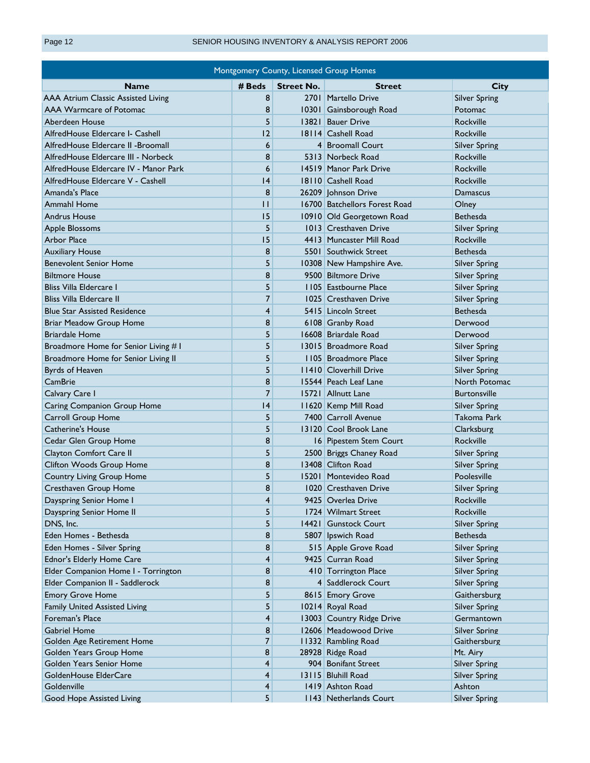#### Page 12 SENIOR HOUSING INVENTORY & ANALYSIS REPORT 2006

| Montgomery County, Licensed Group Homes   |                |                   |                               |                      |
|-------------------------------------------|----------------|-------------------|-------------------------------|----------------------|
| <b>Name</b>                               | # Beds         | <b>Street No.</b> | <b>Street</b>                 | <b>City</b>          |
| <b>AAA Atrium Classic Assisted Living</b> | 8              |                   | 2701 Martello Drive           | <b>Silver Spring</b> |
| AAA Warmcare of Potomac                   | 8              |                   | 10301 Gainsborough Road       | Potomac              |
| Aberdeen House                            | 5              |                   | 13821 Bauer Drive             | Rockville            |
| AlfredHouse Eldercare I- Cashell          | 12             |                   | 18114 Cashell Road            | Rockville            |
| AlfredHouse Eldercare II - Broomall       | 6              |                   | 4 Broomall Court              | <b>Silver Spring</b> |
| AlfredHouse Eldercare III - Norbeck       | 8              |                   | 5313 Norbeck Road             | Rockville            |
| AlfredHouse Eldercare IV - Manor Park     | 6              |                   | 14519 Manor Park Drive        | <b>Rockville</b>     |
| AlfredHouse Eldercare V - Cashell         | 4              |                   | 18110 Cashell Road            | Rockville            |
| Amanda's Place                            | 8              |                   | 26209 Johnson Drive           | Damascus             |
| Ammahl Home                               | $\mathbf{H}$   |                   | 16700 Batchellors Forest Road | Olney                |
| <b>Andrus House</b>                       | 15             |                   | 10910 Old Georgetown Road     | Bethesda             |
| <b>Apple Blossoms</b>                     | 5              |                   | 1013 Cresthaven Drive         | <b>Silver Spring</b> |
| <b>Arbor Place</b>                        | 15             |                   | 4413 Muncaster Mill Road      | Rockville            |
| <b>Auxiliary House</b>                    | 8              |                   | 5501 Southwick Street         | <b>Bethesda</b>      |
| <b>Benevolent Senior Home</b>             | 5              |                   | 10308 New Hampshire Ave.      | <b>Silver Spring</b> |
| <b>Biltmore House</b>                     | 8              |                   | 9500 Biltmore Drive           | <b>Silver Spring</b> |
| <b>Bliss Villa Eldercare I</b>            | 5              |                   | 1105 Eastbourne Place         | <b>Silver Spring</b> |
| <b>Bliss Villa Eldercare II</b>           | $\overline{7}$ |                   | 1025 Cresthaven Drive         | <b>Silver Spring</b> |
| <b>Blue Star Assisted Residence</b>       | 4              |                   | 5415 Lincoln Street           | <b>Bethesda</b>      |
| <b>Briar Meadow Group Home</b>            | 8              |                   | 6108 Granby Road              | Derwood              |
| <b>Briardale Home</b>                     | 5              |                   | 16608 Briardale Road          | Derwood              |
| Broadmore Home for Senior Living # I      | 5              |                   | 13015 Broadmore Road          | <b>Silver Spring</b> |
| Broadmore Home for Senior Living II       | 5              |                   | 1105 Broadmore Place          | <b>Silver Spring</b> |
| Byrds of Heaven                           | 5              |                   | 11410 Cloverhill Drive        | <b>Silver Spring</b> |
| CamBrie                                   | 8              |                   | 15544 Peach Leaf Lane         | North Potomac        |
| Calvary Care I                            | $\overline{7}$ |                   | 15721 Allnutt Lane            | <b>Burtonsville</b>  |
| Caring Companion Group Home               | 4              |                   | 11620 Kemp Mill Road          | <b>Silver Spring</b> |
| <b>Carroll Group Home</b>                 | 5              |                   | 7400 Carroll Avenue           | Takoma Park          |
| <b>Catherine's House</b>                  | 5              |                   | 13120 Cool Brook Lane         | Clarksburg           |
| Cedar Glen Group Home                     | 8              |                   | 16 Pipestem Stem Court        | Rockville            |
| Clayton Comfort Care II                   | 5              |                   | 2500 Briggs Chaney Road       | <b>Silver Spring</b> |
| <b>Clifton Woods Group Home</b>           | 8              |                   | 13408 Clifton Road            | <b>Silver Spring</b> |
| Country Living Group Home                 | 5              |                   | 15201 Montevideo Road         | Poolesville          |
| Cresthaven Group Home                     | 8              |                   | 1020 Cresthaven Drive         | <b>Silver Spring</b> |
| Dayspring Senior Home I                   | 4              |                   | 9425 Overlea Drive            | Rockville            |
| Dayspring Senior Home II                  | 5              |                   | 1724 Wilmart Street           | Rockville            |
| DNS, Inc.                                 | 5              |                   | 14421 Gunstock Court          | <b>Silver Spring</b> |
| Eden Homes - Bethesda                     | 8              |                   | 5807 Ipswich Road             | <b>Bethesda</b>      |
| Eden Homes - Silver Spring                | 8              |                   | 515 Apple Grove Road          | <b>Silver Spring</b> |
| <b>Ednor's Elderly Home Care</b>          | 4              |                   | 9425 Curran Road              | <b>Silver Spring</b> |
| Elder Companion Home I - Torrington       | 8              |                   | 410 Torrington Place          | <b>Silver Spring</b> |
| Elder Companion II - Saddlerock           | 8              |                   | 4 Saddlerock Court            | Silver Spring        |
| <b>Emory Grove Home</b>                   | 5              |                   | 8615 Emory Grove              | Gaithersburg         |
| <b>Family United Assisted Living</b>      | 5              |                   | 10214 Royal Road              | Silver Spring        |
| Foreman's Place                           | 4              |                   | 13003 Country Ridge Drive     | Germantown           |
| <b>Gabriel Home</b>                       | 8              |                   | 12606 Meadowood Drive         | <b>Silver Spring</b> |
| Golden Age Retirement Home                | 7              |                   | 11332 Rambling Road           | Gaithersburg         |
| Golden Years Group Home                   | 8              |                   | 28928 Ridge Road              | Mt. Airy             |
| Golden Years Senior Home                  | 4              |                   | 904 Bonifant Street           | <b>Silver Spring</b> |
| GoldenHouse ElderCare                     | 4              |                   | 13115 Bluhill Road            | <b>Silver Spring</b> |
| Goldenville                               | 4              |                   | 1419 Ashton Road              | Ashton               |
| Good Hope Assisted Living                 | 5              |                   | 1143 Netherlands Court        | <b>Silver Spring</b> |
|                                           |                |                   |                               |                      |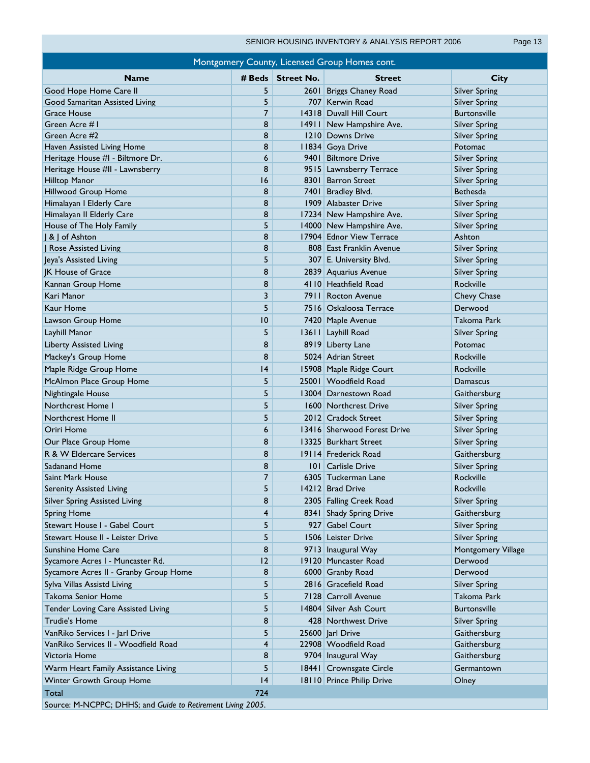| SENIOR HOUSING INVENTORY & ANALYSIS REPORT 2006 | Page 13 |
|-------------------------------------------------|---------|
|-------------------------------------------------|---------|

| Page |  |
|------|--|
|      |  |

| Montgomery County, Licensed Group Homes cont.               |                |                   |                                             |                                   |
|-------------------------------------------------------------|----------------|-------------------|---------------------------------------------|-----------------------------------|
| <b>Name</b>                                                 | # Beds         | <b>Street No.</b> | <b>Street</b>                               | City                              |
| Good Hope Home Care II                                      | 5              |                   | 2601 Briggs Chaney Road                     | <b>Silver Spring</b>              |
| Good Samaritan Assisted Living                              | 5              |                   | 707 Kerwin Road                             | <b>Silver Spring</b>              |
| <b>Grace House</b>                                          | $\overline{7}$ |                   | 14318 Duvall Hill Court                     | <b>Burtonsville</b>               |
| Green Acre #1                                               | 8              |                   | 14911 New Hampshire Ave.                    | <b>Silver Spring</b>              |
| Green Acre #2                                               | 8              |                   | 1210 Downs Drive                            | <b>Silver Spring</b>              |
| Haven Assisted Living Home                                  | 8              |                   | 11834 Goya Drive                            | Potomac                           |
| Heritage House #I - Biltmore Dr.                            | 6              |                   | 9401 Biltmore Drive                         | <b>Silver Spring</b>              |
| Heritage House #II - Lawnsberry                             | 8              |                   | 9515 Lawnsberry Terrace                     | <b>Silver Spring</b>              |
| Hilltop Manor                                               | 16             |                   | 8301 Barron Street                          | <b>Silver Spring</b>              |
| <b>Hillwood Group Home</b>                                  | 8              |                   | 7401 Bradley Blvd.                          | <b>Bethesda</b>                   |
| Himalayan I Elderly Care                                    | 8              |                   | 1909 Alabaster Drive                        | <b>Silver Spring</b>              |
| Himalayan II Elderly Care                                   | 8              |                   | 17234 New Hampshire Ave.                    | <b>Silver Spring</b>              |
| House of The Holy Family                                    | 5              |                   | 14000 New Hampshire Ave.                    | <b>Silver Spring</b>              |
| &   of Ashton                                               | 8              |                   | 17904 Ednor View Terrace                    | Ashton                            |
| Rose Assisted Living                                        | 8              |                   | 808 East Franklin Avenue                    | <b>Silver Spring</b>              |
| Jeya's Assisted Living                                      | 5              |                   | 307 E. University Blvd.                     | <b>Silver Spring</b>              |
| JK House of Grace                                           | 8              |                   | 2839 Aquarius Avenue                        | <b>Silver Spring</b>              |
| Kannan Group Home                                           | 8              |                   | 4110 Heathfield Road                        | Rockville                         |
| Kari Manor                                                  | 3              |                   | 7911 Rocton Avenue                          | Chevy Chase                       |
| Kaur Home                                                   | 5              |                   | 7516 Oskaloosa Terrace                      | Derwood                           |
| Lawson Group Home                                           | $ 0\rangle$    |                   | 7420 Maple Avenue                           | Takoma Park                       |
| Layhill Manor                                               | 5              |                   | 13611 Layhill Road                          | <b>Silver Spring</b>              |
| <b>Liberty Assisted Living</b>                              | 8              |                   | 8919 Liberty Lane                           | Potomac                           |
| Mackey's Group Home                                         | 8              |                   | 5024 Adrian Street                          | Rockville                         |
| Maple Ridge Group Home                                      | 4              |                   | 15908 Maple Ridge Court                     | Rockville                         |
| McAlmon Place Group Home                                    | 5              |                   | 25001 Woodfield Road                        | Damascus                          |
| Nightingale House                                           | 5              |                   | 13004 Darnestown Road                       | Gaithersburg                      |
| Northcrest Home I                                           | 5              |                   | <b>1600 Northcrest Drive</b>                | <b>Silver Spring</b>              |
| Northcrest Home II                                          | 5              |                   | 2012 Cradock Street                         | <b>Silver Spring</b>              |
| Oriri Home                                                  | 6              |                   | 13416 Sherwood Forest Drive                 | <b>Silver Spring</b>              |
| Our Place Group Home                                        | 8              |                   | 13325 Burkhart Street                       | <b>Silver Spring</b>              |
| R & W Eldercare Services                                    | 8              |                   | 19114 Frederick Road                        | Gaithersburg                      |
|                                                             | 8              |                   |                                             |                                   |
| <b>Sadanand Home</b><br>Saint Mark House                    | $\overline{7}$ |                   | 101   Carlisle Drive<br>6305 Tuckerman Lane | <b>Silver Spring</b><br>Rockville |
| <b>Serenity Assisted Living</b>                             | 5              |                   | 14212 Brad Drive                            | Rockville                         |
| <b>Silver Spring Assisted Living</b>                        | 8              |                   | 2305 Falling Creek Road                     |                                   |
|                                                             | 4              |                   |                                             | <b>Silver Spring</b>              |
| <b>Spring Home</b>                                          |                |                   | 8341 Shady Spring Drive                     | Gaithersburg                      |
| Stewart House I - Gabel Court                               | 5              |                   | 927 Gabel Court                             | <b>Silver Spring</b>              |
| Stewart House II - Leister Drive                            | 5              |                   | 1506 Leister Drive                          | <b>Silver Spring</b>              |
| Sunshine Home Care                                          | 8              |                   | 9713 Inaugural Way                          | Montgomery Village                |
| Sycamore Acres I - Muncaster Rd.                            | 12             |                   | 19120 Muncaster Road                        | Derwood                           |
| Sycamore Acres II - Granby Group Home                       | 8              |                   | 6000 Granby Road                            | Derwood                           |
| Sylva Villas Assistd Living                                 | 5              |                   | 2816 Gracefield Road                        | <b>Silver Spring</b>              |
| Takoma Senior Home                                          | 5              |                   | 7128 Carroll Avenue                         | Takoma Park                       |
| Tender Loving Care Assisted Living                          | 5              |                   | 14804 Silver Ash Court                      | <b>Burtonsville</b>               |
| <b>Trudie's Home</b>                                        | 8              |                   | 428 Northwest Drive                         | <b>Silver Spring</b>              |
| VanRiko Services I - Jarl Drive                             | 5              |                   | 25600 Jarl Drive                            | Gaithersburg                      |
| VanRiko Services II - Woodfield Road                        | 4              |                   | 22908 Woodfield Road                        | Gaithersburg                      |
| Victoria Home                                               | 8              |                   | 9704 Inaugural Way                          | Gaithersburg                      |
| Warm Heart Family Assistance Living                         | 5              |                   | 18441 Crownsgate Circle                     | Germantown                        |
| Winter Growth Group Home                                    | 4              |                   | 18110 Prince Philip Drive                   | Olney                             |
| Total                                                       | 724            |                   |                                             |                                   |
| Source: M-NCPPC; DHHS; and Guide to Retirement Living 2005. |                |                   |                                             |                                   |